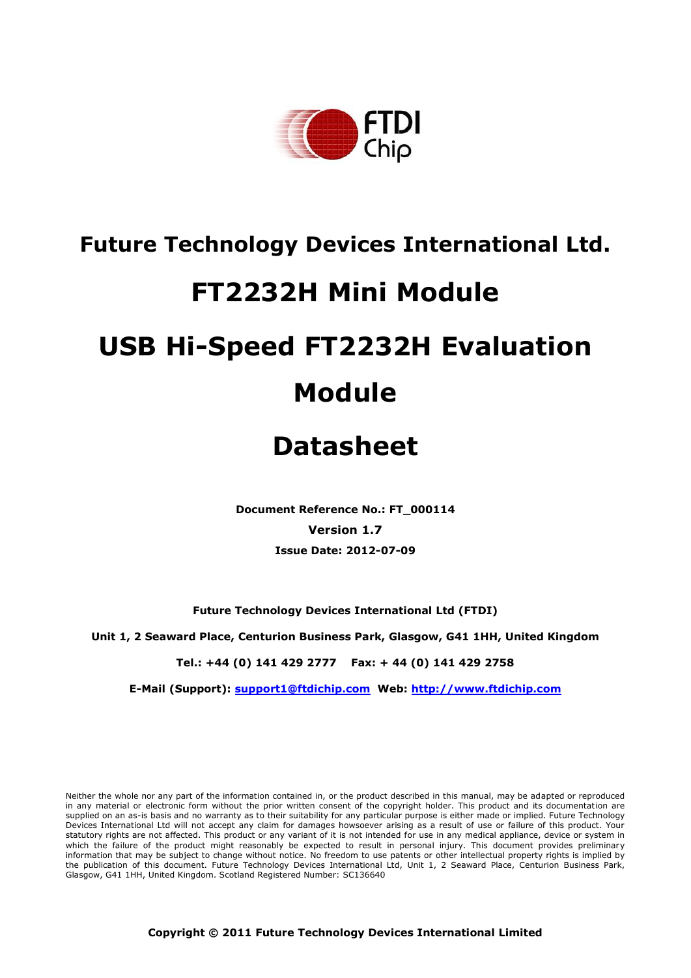

## **Future Technology Devices International Ltd.**

## **FT2232H Mini Module**

# **USB Hi-Speed FT2232H Evaluation Module**

## **Datasheet**

**Document Reference No.: FT\_000114 Version 1.7 Issue Date: 2012-07-09**

**Future Technology Devices International Ltd (FTDI)**

**Unit 1, 2 Seaward Place, Centurion Business Park, Glasgow, G41 1HH, United Kingdom**

**Tel.: +44 (0) 141 429 2777 Fax: + 44 (0) 141 429 2758**

**E-Mail (Support): support1@ftdichip.com Web: http://www.ftdichip.com**

Neither the whole nor any part of the information contained in, or the product described in this manual, may be adapted or reproduced in any material or electronic form without the prior written consent of the copyright holder. This product and its documentation are supplied on an as-is basis and no warranty as to their suitability for any particular purpose is either made or implied. Future Technology Devices International Ltd will not accept any claim for damages howsoever arising as a result of use or failure of this product. Your statutory rights are not affected. This product or any variant of it is not intended for use in any medical appliance, device or system in which the failure of the product might reasonably be expected to result in personal injury. This document provides preliminary information that may be subject to change without notice. No freedom to use patents or other intellectual property rights is implied by the publication of this document. Future Technology Devices International Ltd, Unit 1, 2 Seaward Place, Centurion Business Park, Glasgow, G41 1HH, United Kingdom. Scotland Registered Number: SC136640

**Copyright © 2011 Future Technology Devices International Limited**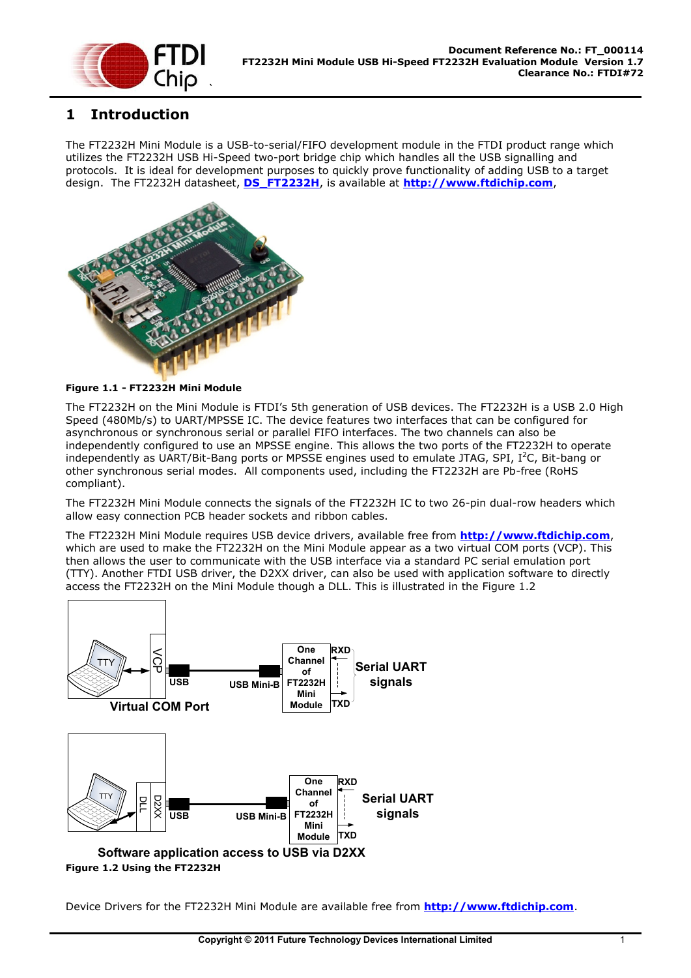

## <span id="page-1-1"></span>**1 Introduction**

The FT2232H Mini Module is a USB-to-serial/FIFO development module in the FTDI product range which utilizes the FT2232H USB Hi-Speed two-port bridge chip which handles all the USB signalling and protocols. It is ideal for development purposes to quickly prove functionality of adding USB to a target design. The FT2232H datasheet, **[DS\\_FT2232H](http://ftdichip.com/Documents/DataSheets/DS_FT2232H_V110.pdf)**, is available at **[http://www.ftdichip.com](http://www.ftdichip.com/)**,



#### **Figure 1.1 - FT2232H Mini Module**

The FT2232H on the Mini Module is FTDI's 5th generation of USB devices. The FT2232H is a USB 2.0 High Speed (480Mb/s) to UART/MPSSE IC. The device features two interfaces that can be configured for asynchronous or synchronous serial or parallel FIFO interfaces. The two channels can also be independently configured to use an MPSSE engine. This allows the two ports of the FT2232H to operate independently as UART/Bit-Bang ports or MPSSE engines used to emulate JTAG, SPI,  $I^2C$ , Bit-bang or other synchronous serial modes. All components used, including the FT2232H are Pb-free (RoHS compliant).

The FT2232H Mini Module connects the signals of the FT2232H IC to two 26-pin dual-row headers which allow easy connection PCB header sockets and ribbon cables.

The FT2232H Mini Module requires USB device drivers, available free from **[http://www.ftdichip.com](http://www.ftdichip.com/)**, which are used to make the FT2232H on the Mini Module appear as a two virtual COM ports (VCP). This then allows the user to communicate with the USB interface via a standard PC serial emulation port (TTY). Another FTDI USB driver, the D2XX driver, can also be used with application software to directly access the FT2232H on the Mini Module though a DLL. This is illustrated in the [Figure 1.2](#page-1-0)



<span id="page-1-0"></span>Device Drivers for the FT2232H Mini Module are available free from **[http://www.ftdichip.com](http://www.ftdichip.com/)**.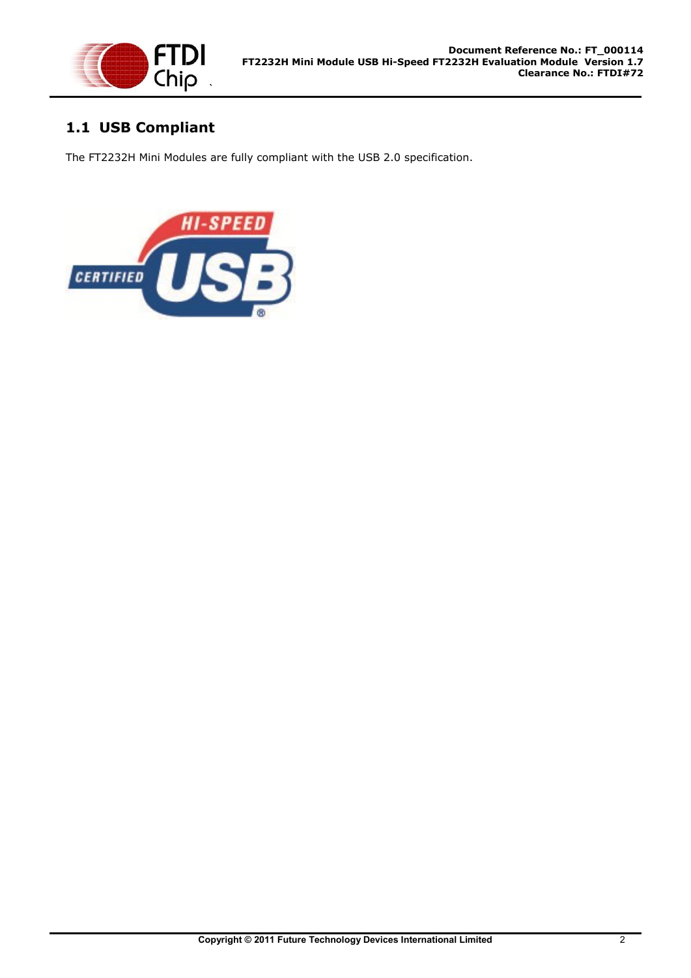

## <span id="page-2-0"></span>**1.1 USB Compliant**

The FT2232H Mini Modules are fully compliant with the USB 2.0 specification.

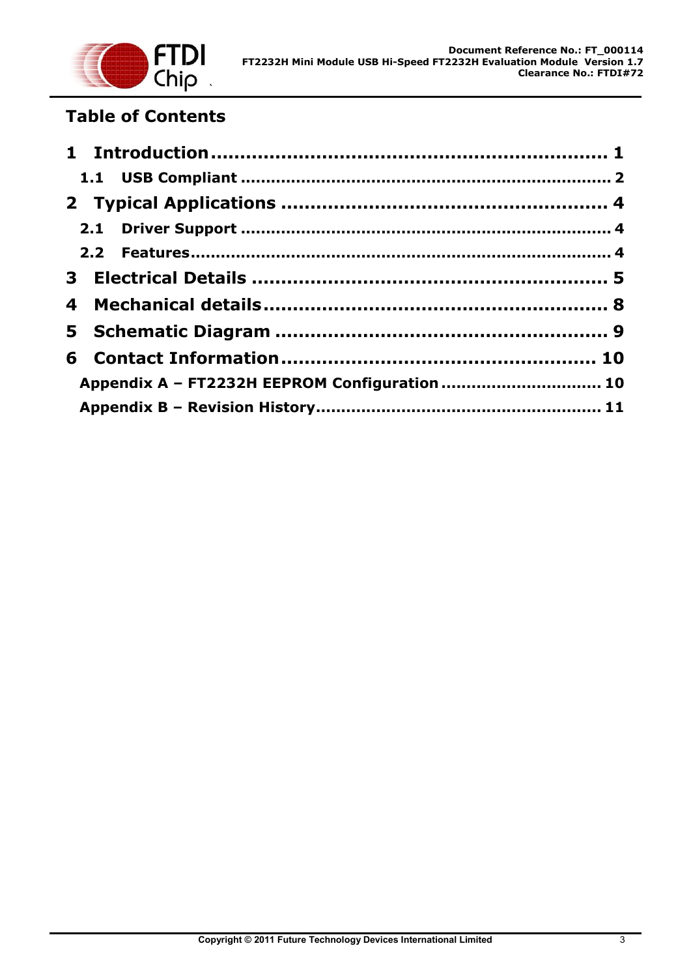

## **Table of Contents**

| Appendix A - FT2232H EEPROM Configuration  10 |  |
|-----------------------------------------------|--|
|                                               |  |
|                                               |  |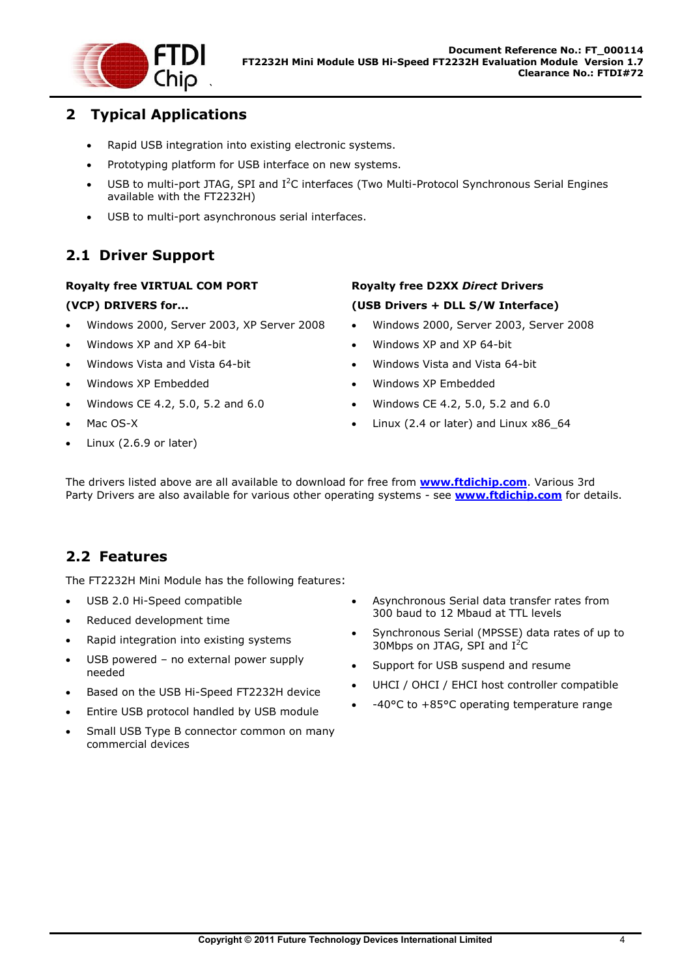

## <span id="page-4-0"></span>**2 Typical Applications**

- Rapid USB integration into existing electronic systems.
- Prototyping platform for USB interface on new systems.
- $\bullet$  USB to multi-port JTAG, SPI and I<sup>2</sup>C interfaces (Two Multi-Protocol Synchronous Serial Engines available with the FT2232H)
- USB to multi-port asynchronous serial interfaces.

## <span id="page-4-1"></span>**2.1 Driver Support**

#### **Royalty free VIRTUAL COM PORT (VCP) DRIVERS for...**

- Windows 2000, Server 2003, XP Server 2008
- Windows XP and XP 64-bit
- Windows Vista and Vista 64-bit
- Windows XP Embedded
- Windows CE 4.2, 5.0, 5.2 and 6.0
- Mac OS-X
- Linux (2.6.9 or later)

### **Royalty free D2XX** *Direct* **Drivers (USB Drivers + DLL S/W Interface)**

- Windows 2000, Server 2003, Server 2008
- Windows XP and XP 64-bit
- Windows Vista and Vista 64-bit
- Windows XP Embedded
- Windows CE 4.2, 5.0, 5.2 and 6.0
- Linux (2.4 or later) and Linux x86\_64

The drivers listed above are all available to download for free from **[www.ftdichip.com](http://www.ftdichip.com/)**. Various 3rd Party Drivers are also available for various other operating systems - see **[www.ftdichip.com](http://www.ftdichip.com/)** for details.

## <span id="page-4-2"></span>**2.2 Features**

The FT2232H Mini Module has the following features:

- USB 2.0 Hi-Speed compatible
- Reduced development time
- Rapid integration into existing systems
- USB powered no external power supply needed
- Based on the USB Hi-Speed FT2232H device
- Entire USB protocol handled by USB module
- Small USB Type B connector common on many commercial devices
- Asynchronous Serial data transfer rates from 300 baud to 12 Mbaud at TTL levels
- Synchronous Serial (MPSSE) data rates of up to 30Mbps on JTAG, SPI and  $I^2C$
- Support for USB suspend and resume
- UHCI / OHCI / EHCI host controller compatible
- -40°C to +85°C operating temperature range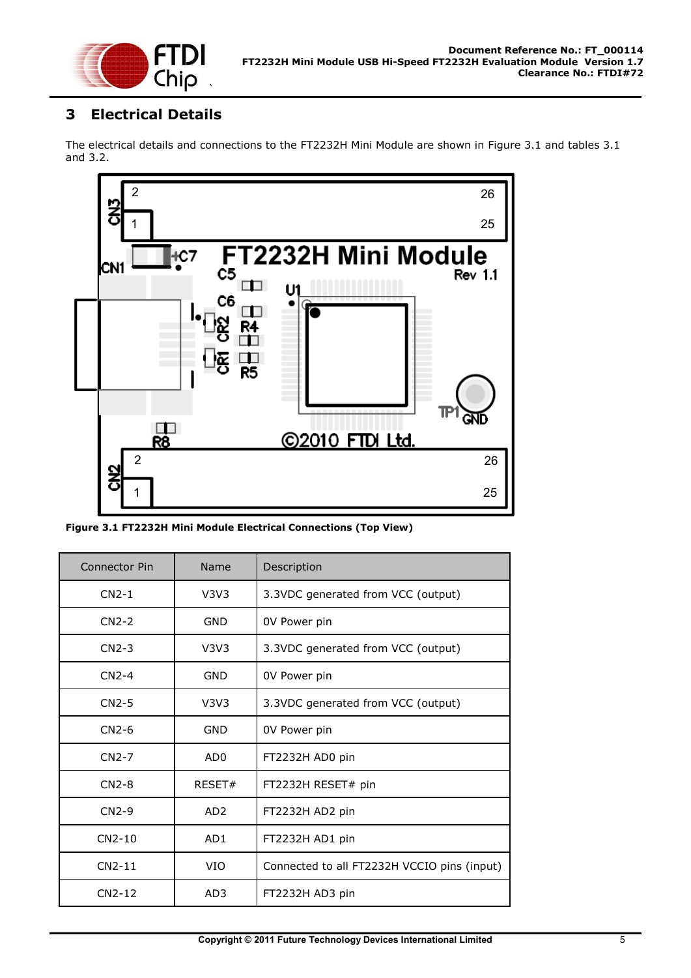

## <span id="page-5-0"></span>**3 Electrical Details**

The electrical details and connections to the FT2232H Mini Module are shown in Figure 3.1 and tables 3.1 and 3.2.



**Figure 3.1 FT2232H Mini Module Electrical Connections (Top View)**

| <b>Connector Pin</b> | Name            | Description                                 |
|----------------------|-----------------|---------------------------------------------|
| $CN2-1$              | V3V3            | 3.3VDC generated from VCC (output)          |
| $CN2-2$              | <b>GND</b>      | 0V Power pin                                |
| $CN2-3$              | V3V3            | 3.3VDC generated from VCC (output)          |
| $CN2-4$              | GND             | 0V Power pin                                |
| $CN2-5$              | V3V3            | 3.3VDC generated from VCC (output)          |
| $CN2-6$              | GND             | OV Power pin                                |
| $CN2-7$              | AD <sub>0</sub> | FT2232H AD0 pin                             |
| $CN2-8$              | RESET#          | FT2232H RESET# pin                          |
| $CN2-9$              | AD <sub>2</sub> | FT2232H AD2 pin                             |
| $CN2-10$             | AD <sub>1</sub> | FT2232H AD1 pin                             |
| $CN2-11$             | <b>VIO</b>      | Connected to all FT2232H VCCIO pins (input) |
| $CN2-12$             | AD <sub>3</sub> | FT2232H AD3 pin                             |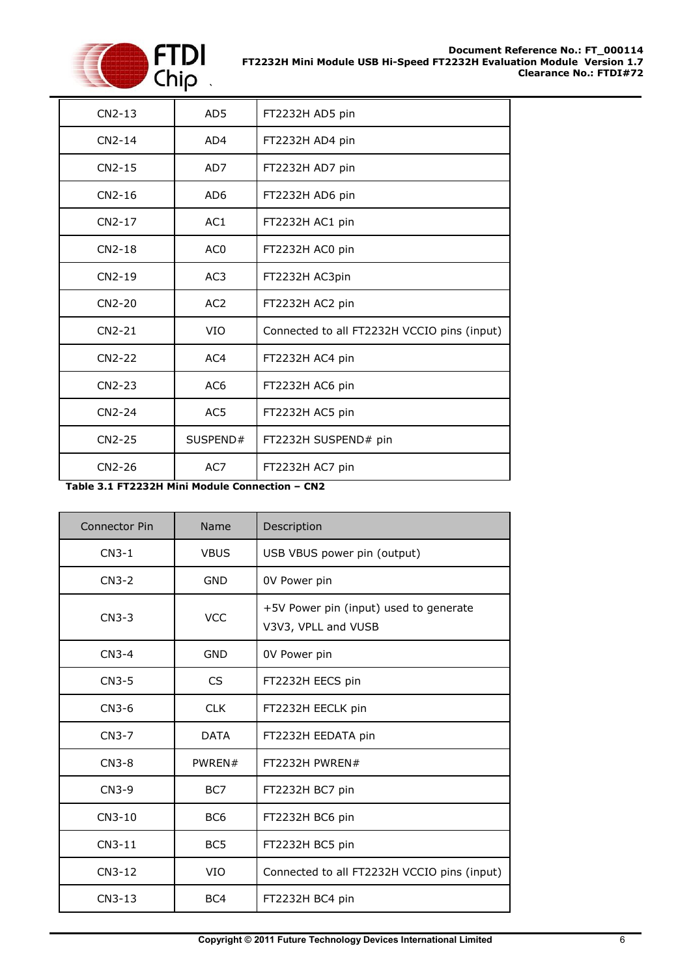

| $CN2-13$ | AD <sub>5</sub> | FT2232H AD5 pin                             |
|----------|-----------------|---------------------------------------------|
| $CN2-14$ | AD4             | FT2232H AD4 pin                             |
| $CN2-15$ | AD7             | FT2232H AD7 pin                             |
| $CN2-16$ | AD <sub>6</sub> | FT2232H AD6 pin                             |
| CN2-17   | AC <sub>1</sub> | FT2232H AC1 pin                             |
| $CN2-18$ | AC <sub>0</sub> | FT2232H AC0 pin                             |
| $CN2-19$ | AC <sub>3</sub> | FT2232H AC3pin                              |
| CN2-20   | AC2             | FT2232H AC2 pin                             |
| $CN2-21$ | VIO             | Connected to all FT2232H VCCIO pins (input) |
| CN2-22   | AC4             | FT2232H AC4 pin                             |
| CN2-23   | AC <sub>6</sub> | FT2232H AC6 pin                             |
| $CN2-24$ | AC <sub>5</sub> | FT2232H AC5 pin                             |
| CN2-25   | SUSPEND#        | FT2232H SUSPEND# pin                        |
| CN2-26   | AC7             | FT2232H AC7 pin                             |

**Table 3.1 FT2232H Mini Module Connection – CN2**

| <b>Connector Pin</b> | Name            | Description                                                   |
|----------------------|-----------------|---------------------------------------------------------------|
| $CN3-1$              | <b>VBUS</b>     | USB VBUS power pin (output)                                   |
| $CN3-2$              | <b>GND</b>      | 0V Power pin                                                  |
| $CN3-3$              | <b>VCC</b>      | +5V Power pin (input) used to generate<br>V3V3, VPLL and VUSB |
| $CN3-4$              | <b>GND</b>      | 0V Power pin                                                  |
| $CN3-5$              | <b>CS</b>       | FT2232H EECS pin                                              |
| $CN3-6$              | <b>CLK</b>      | FT2232H EECLK pin                                             |
| $CN3-7$              | <b>DATA</b>     | FT2232H EEDATA pin                                            |
| $CN3-8$              | PWREN#          | FT2232H PWREN#                                                |
| $CN3-9$              | BC7             | FT2232H BC7 pin                                               |
| CN3-10               | BC <sub>6</sub> | FT2232H BC6 pin                                               |
| $CN3-11$             | BC <sub>5</sub> | FT2232H BC5 pin                                               |
| $CN3-12$             | <b>VIO</b>      | Connected to all FT2232H VCCIO pins (input)                   |
| $CN3-13$             | BC4             | FT2232H BC4 pin                                               |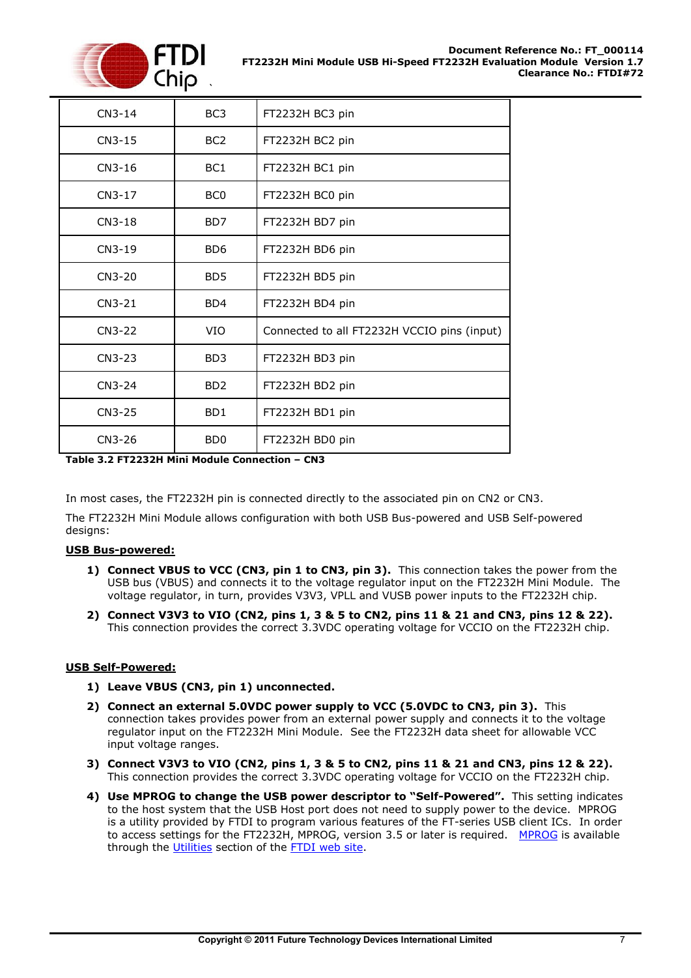

| $CN3-14$ | BC <sub>3</sub>             | FT2232H BC3 pin                             |
|----------|-----------------------------|---------------------------------------------|
| $CN3-15$ | BC <sub>2</sub>             | FT2232H BC2 pin                             |
| $CN3-16$ | BC1                         | FT2232H BC1 pin                             |
| $CN3-17$ | BC <sub>0</sub>             | FT2232H BC0 pin                             |
| $CN3-18$ | B <sub>D</sub> 7            | FT2232H BD7 pin                             |
| $CN3-19$ | B <sub>D</sub> 6            | FT2232H BD6 pin                             |
| $CN3-20$ | B <sub>D</sub> <sub>5</sub> | FT2232H BD5 pin                             |
| $CN3-21$ | B <sub>D</sub> 4            | FT2232H BD4 pin                             |
| $CN3-22$ | <b>VIO</b>                  | Connected to all FT2232H VCCIO pins (input) |
| CN3-23   | B <sub>D</sub> 3            | FT2232H BD3 pin                             |
| CN3-24   | B <sub>D</sub> <sub>2</sub> | FT2232H BD2 pin                             |
| $CN3-25$ | B <sub>D</sub> 1            | FT2232H BD1 pin                             |
| CN3-26   | B <sub>D</sub> <sub>0</sub> | FT2232H BD0 pin                             |

**Table 3.2 FT2232H Mini Module Connection – CN3**

In most cases, the FT2232H pin is connected directly to the associated pin on CN2 or CN3.

The FT2232H Mini Module allows configuration with both USB Bus-powered and USB Self-powered designs:

#### **USB Bus-powered:**

- **1) Connect VBUS to VCC (CN3, pin 1 to CN3, pin 3).** This connection takes the power from the USB bus (VBUS) and connects it to the voltage regulator input on the FT2232H Mini Module. The voltage regulator, in turn, provides V3V3, VPLL and VUSB power inputs to the FT2232H chip.
- **2) Connect V3V3 to VIO (CN2, pins 1, 3 & 5 to CN2, pins 11 & 21 and CN3, pins 12 & 22).**  This connection provides the correct 3.3VDC operating voltage for VCCIO on the FT2232H chip.

#### **USB Self-Powered:**

- **1) Leave VBUS (CN3, pin 1) unconnected.**
- **2) Connect an external 5.0VDC power supply to VCC (5.0VDC to CN3, pin 3).** This connection takes provides power from an external power supply and connects it to the voltage regulator input on the FT2232H Mini Module. See the FT2232H data sheet for allowable VCC input voltage ranges.
- **3) Connect V3V3 to VIO (CN2, pins 1, 3 & 5 to CN2, pins 11 & 21 and CN3, pins 12 & 22).**  This connection provides the correct 3.3VDC operating voltage for VCCIO on the FT2232H chip.
- **4) Use MPROG to change the USB power descriptor to "Self-Powered".** This setting indicates to the host system that the USB Host port does not need to supply power to the device. MPROG is a utility provided by FTDI to program various features of the FT-series USB client ICs. In order to access settings for the FT2232H, [MPROG](http://www.ftdichip.com/Resources/Utilities/MProg3.5.zip), version 3.5 or later is required. MPROG is available through the [Utilities](http://ftdichip.com/Resources/Utilities.htm) section of the [FTDI web site.](http://www.ftdichip.com/)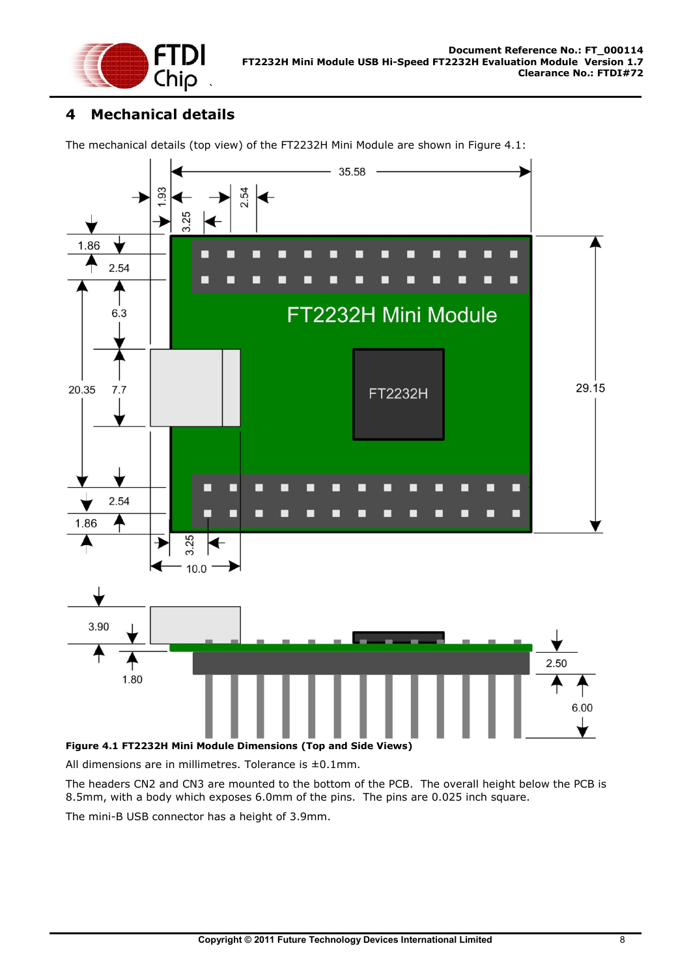

## <span id="page-8-0"></span>**4 Mechanical details**

The mechanical details (top view) of the FT2232H Mini Module are shown in [Figure 4.1:](#page-8-1)



<span id="page-8-1"></span>**Figure 4.1 FT2232H Mini Module Dimensions (Top and Side Views)**

All dimensions are in millimetres. Tolerance is ±0.1mm.

The headers CN2 and CN3 are mounted to the bottom of the PCB. The overall height below the PCB is 8.5mm, with a body which exposes 6.0mm of the pins. The pins are 0.025 inch square.

The mini-B USB connector has a height of 3.9mm.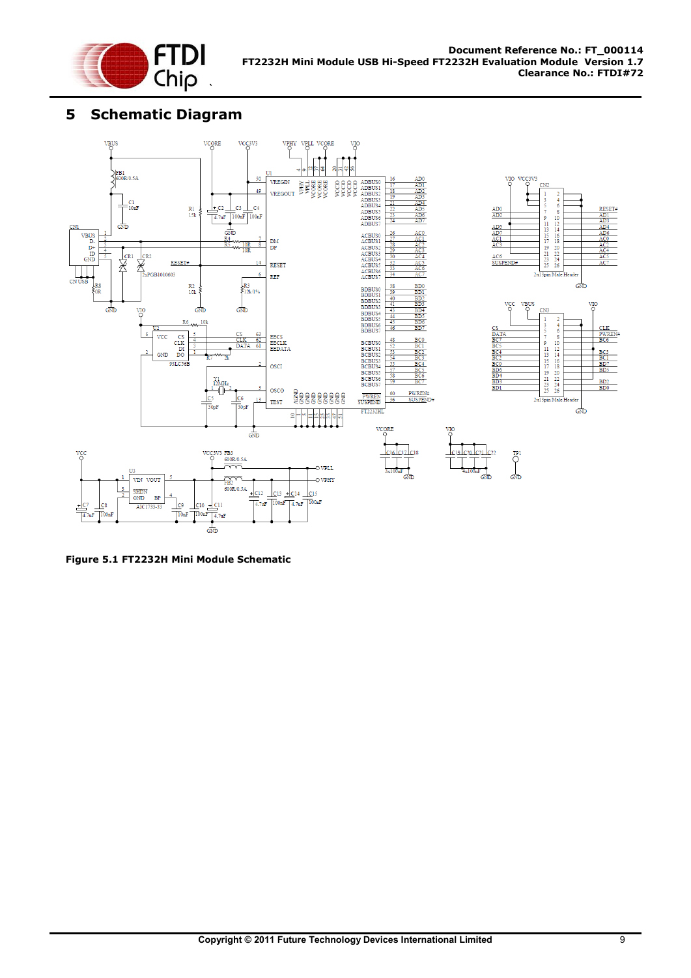

## <span id="page-9-0"></span>**5 Schematic Diagram**



**Figure 5.1 FT2232H Mini Module Schematic**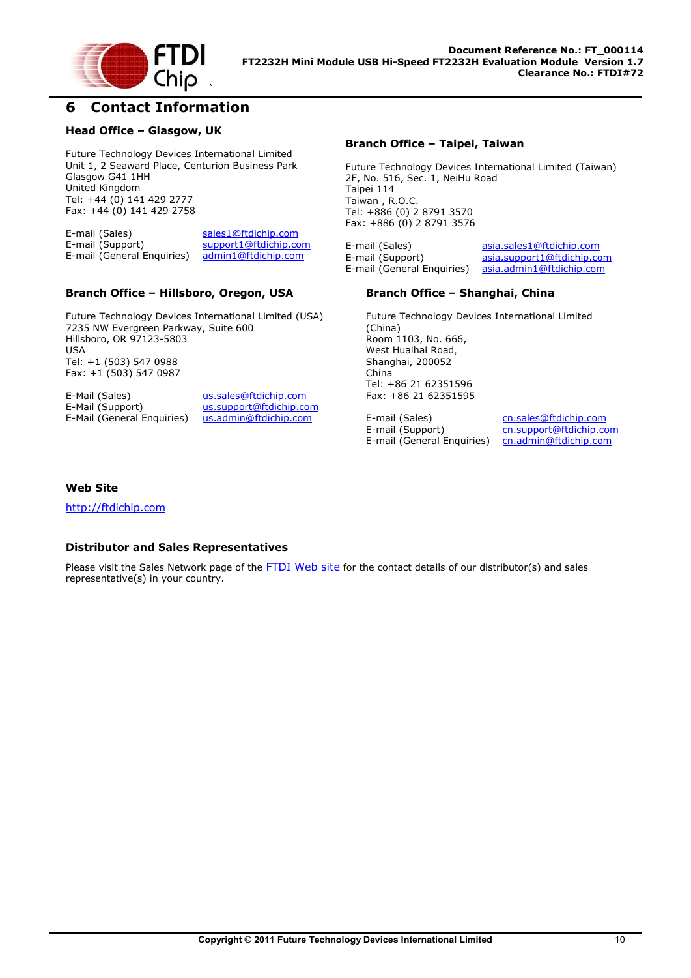

### <span id="page-10-0"></span>**6 Contact Information**

#### **Head Office – Glasgow, UK**

Future Technology Devices International Limited Unit 1, 2 Seaward Place, Centurion Business Park Glasgow G41 1HH United Kingdom Tel: +44 (0) 141 429 2777 Fax: +44 (0) 141 429 2758

E-mail (Sales) [sales1@ftdichip.com](mailto:sales1@ftdichip.com) E-mail (Support) [support1@ftdichip.com](mailto:support1@ftdichip.com) E-mail (General Enquiries) [admin1@ftdichip.com](mailto:admin1@ftdichip.com)

#### **Branch Office – Hillsboro, Oregon, USA**

Future Technology Devices International Limited (USA) 7235 NW Evergreen Parkway, Suite 600 Hillsboro, OR 97123-5803 USA Tel: +1 (503) 547 0988 Fax: +1 (503) 547 0987

E-Mail (Sales) [us.sales@ftdichip.com](mailto:us.sales@ftdichip.com) E-Mail (General Enquiries)

E-Mail (Support) [us.support@ftdichip.com](mailto:us.support@ftdichip.com)<br>E-Mail (General Enquiries) us.admin@ftdichip.com

#### **Branch Office – Taipei, Taiwan**

Future Technology Devices International Limited (Taiwan) 2F, No. 516, Sec. 1, NeiHu Road Taipei 114 Taiwan , R.O.C. Tel: +886 (0) 2 8791 3570 Fax: +886 (0) 2 8791 3576

E-mail (Sales) [asia.sales1@ftdichip.com](mailto:asia.sales1@ftdichip.com) E-mail (Support) [asia.support1@ftdichip.com](mailto:asia.support1@ftdichip.com)<br>E-mail (General Enquiries) asia.admin1@ftdichip.com E-mail (General Enquiries)

#### **Branch Office – Shanghai, China**

Future Technology Devices International Limited (China) Room 1103, No. 666, West Huaihai Road, Shanghai, 200052 China Tel: +86 21 62351596 Fax: +86 21 62351595

E-mail (Sales) [cn.sales@ftdichip.com](mailto:cn.sales@ftdichip.com)<br>E-mail (Support) cn.support@ftdichip.com E-mail (General Enquiries)

[cn.support@ftdichip.com](mailto:cn.support@ftdichip.com)<br>cn.admin@ftdichip.com

#### **Web Site**

[http://ftdichip.com](http://ftdichip.com/)

#### **Distributor and Sales Representatives**

Please visit the Sales Network page of the [FTDI Web site](http://ftdichip.com/FTSalesNetwork.htm) for the contact details of our distributor(s) and sales representative(s) in your country.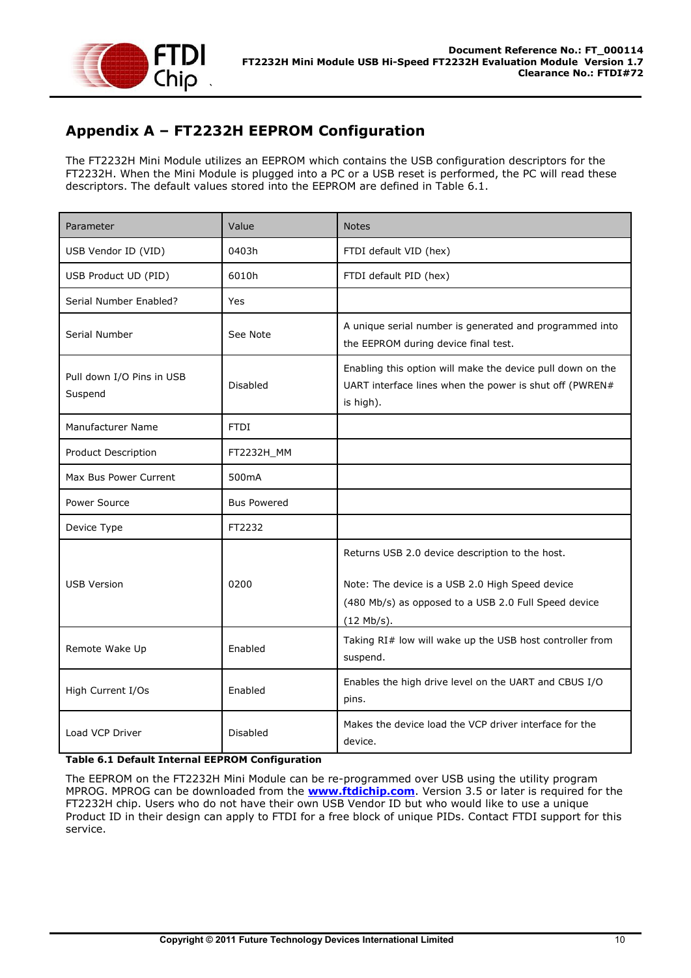

## <span id="page-11-0"></span>**Appendix A – FT2232H EEPROM Configuration**

The FT2232H Mini Module utilizes an EEPROM which contains the USB configuration descriptors for the FT2232H. When the Mini Module is plugged into a PC or a USB reset is performed, the PC will read these descriptors. The default values stored into the EEPROM are defined in [Table 6.1.](#page-11-1)

| Parameter                            | Value              | <b>Notes</b>                                                                                                                                                               |
|--------------------------------------|--------------------|----------------------------------------------------------------------------------------------------------------------------------------------------------------------------|
| USB Vendor ID (VID)                  | 0403h              | FTDI default VID (hex)                                                                                                                                                     |
| USB Product UD (PID)                 | 6010h              | FTDI default PID (hex)                                                                                                                                                     |
| Serial Number Enabled?               | Yes                |                                                                                                                                                                            |
| Serial Number                        | See Note           | A unique serial number is generated and programmed into<br>the EEPROM during device final test.                                                                            |
| Pull down I/O Pins in USB<br>Suspend | <b>Disabled</b>    | Enabling this option will make the device pull down on the<br>UART interface lines when the power is shut off (PWREN#<br>is high).                                         |
| <b>Manufacturer Name</b>             | <b>FTDI</b>        |                                                                                                                                                                            |
| Product Description                  | FT2232H_MM         |                                                                                                                                                                            |
| Max Bus Power Current                | 500 <sub>m</sub> A |                                                                                                                                                                            |
| Power Source                         | <b>Bus Powered</b> |                                                                                                                                                                            |
| Device Type                          | FT2232             |                                                                                                                                                                            |
| <b>USB Version</b>                   | 0200               | Returns USB 2.0 device description to the host.<br>Note: The device is a USB 2.0 High Speed device<br>(480 Mb/s) as opposed to a USB 2.0 Full Speed device<br>$(12$ Mb/s). |
| Remote Wake Up                       | Enabled            | Taking RI# low will wake up the USB host controller from<br>suspend.                                                                                                       |
| High Current I/Os                    | Enabled            | Enables the high drive level on the UART and CBUS I/O<br>pins.                                                                                                             |
| Load VCP Driver                      | <b>Disabled</b>    | Makes the device load the VCP driver interface for the<br>device.                                                                                                          |

#### <span id="page-11-1"></span>**Table 6.1 Default Internal EEPROM Configuration**

The EEPROM on the FT2232H Mini Module can be re-programmed over USB using the utility program MPROG. MPROG can be downloaded from the **[www.ftdichip.com](file:///C:/Users/bob.recny.FTDI/Documents/SharePoint%20Drafts/www.ftdichip.com)**. Version 3.5 or later is required for the FT2232H chip. Users who do not have their own USB Vendor ID but who would like to use a unique Product ID in their design can apply to FTDI for a free block of unique PIDs. Contact FTDI support for this service.